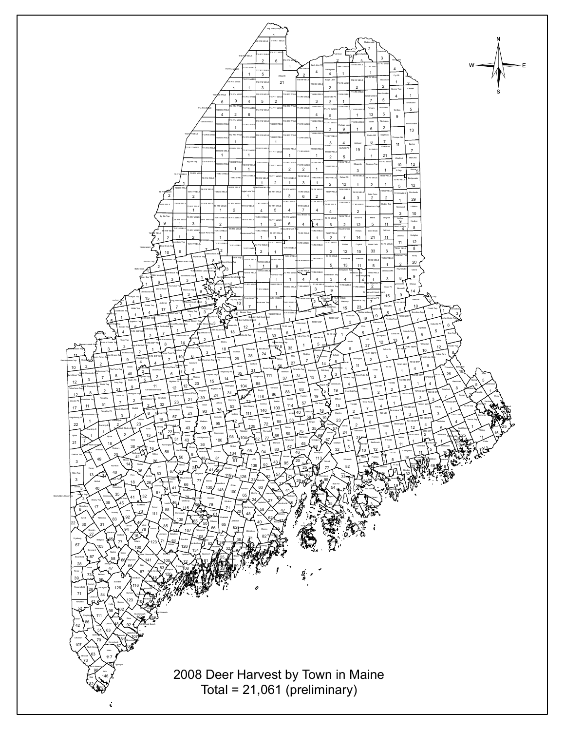